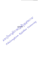R. Emilsongkram Reighter University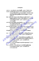## บรรณานุกรม

กรมวิชาการ, กระทรวงศึกษาธิการ (2540) สำคัญที่ใจ. กรุงเทพฯ : โรงพิมพ์การศาสนา ึกองแพทย์ สถานพินิจและคุ้มครองเด็กและเยาวชนกลาง.(2539) เอกสารทางวิชาการ

> ี่ ประกอบการศึกษาถึงวิธีการแนวทางและเทคนิคต่าง ๆ เกี่ยวกับการนำวิธี ชุมชนนำบัดมาปรับประยุกต์ใช้ในกระบวนการทางยุติธรรม กรุงเทพฯ : นนต์สกานต์

ขัตติยา รัตนติลก.(2539) **ลักษณะทางสังคม จิตใจของเยาวชนที่กระทำ**ผิดซ้ำ ณ ส<u>ถ</u>าน พินิจคุ้มครองเด็กและเยาวชนกลาง : ศึกษากรณีบ้านกรุณาและบ้านปราณี. วิทยานิพนช์ปริญญามหาบัณฑิต กรุงเทพฯ : คณะบัณฑิตวิทยาลัย| มหาวิทยาลัยมหิดล

ิจงกลนี ตุ้ยเจริญ.(2540) **สัมพันธภาพของวัยรุ่นกับบิดามารดา <mark>ภาร</mark>เห็นคุณค่าในตนเ**อง **กับการปรับตัวของวัยรุ่นตอนต้น.** วิทยานิพนธ์ปริญญามหาบัณฑิต กรุงเทพฯ คณะบัณฑิตวิทยาลัย มหาวิทยาลัยมหิดล

ชยาพร ลี้ประเสริฐ (2535) **ผลของ**การปรึกษาเชิงจิตวิทยาแบบกลุ่มที่มีต่อการเห็นคุณค่า **ในตนเองของนักเรียนชั้นมัธยมศึกษาปีที่ 3. วิทยานิพน<del>ธ์ปริญ</del>ญามหาบัณฑิต** กรุงเทพฯ : คณะบัณฑิตวิทยาลัย มหาวิทยาลัยจุฬาลงกรณ์

ทำเนียบผู้พิพากษาสมทบ 35 ปี (2540) ศาลเยาวชนและครอบครัวจังหวัดสงบลา. สงขลา : บริษัท โซนพรินท์ จำกัด

นาตยา วงศ์หลีกภัย.(2532) ผลของกลุ่มจิตสัมพันธ์ที่มีต่อก**ารเห็นคุณค่าในตนเองข**อง วัยรุ่น วิทยานิพนธ์ปริญญามหาบัณฑิต กรุงเทพฯ : คณะบัณฑิตวิทยาลัย

มหาวิทยาลัยจุฬาลงกรณ์

เศ<mark>รีริ โรจนธรรมกุล (2535) ผลของการปรึกษาเชิงจิตวิทยาแบบกลุ่มที่มีต่อการเพิ่ม </u></mark> การเห็นคุณค่<mark>าในตนเองของสตรีในสถานสงเคราะห์</mark>หญิงบ้านเกร็ดตระการ. วิทยานิพน<del>ธ์ปริญญ</del>ามหาบัณฑิต กรุงเทพฯ : คณะบัณฑิตวิทยาลัย มหาวิทยาลัยจุฬาลงกรณ์

บุญร่ว<mark>ม เที่ยมจันทร์.(2531) ประมวลกฎหมายอาญาฉบับมาตรฐานสมบูรณ์.</mark> กรุงเทพฯ : จักรานุกูลการพิมพ์

ประวุฒิ กาวรศิริ.(2532) การวิเคราะห์สาเหตุการกระทำผิดซ้ำของผู้ต้องขังหญิง. วิทยานิพนธ์ปริญญามหาบัณฑิต กรุงเทพฯ : คณะบัณฑิตวิทยาลัย มหาวิทยาลัยธรรมศาสตร์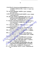ปราณีต ปิยสิรานนท์, การจำแนกประเภททางจิตวิทยาของเด็กและเยาวชน. เอกสารการ อบรมนักจิตวิทยาบรรจุไหม่ของสถานพินิจ, 17 เมษายน - 12 กรกฎาคม 2539. เอกสารอัดสำเนา

พัทยา สายหู (2544) กลไกของสังคม. พิมพ์กรั้งที่ 10 กรุงเทพฯ ; สำนักพิมพ์แห่ง จุฬาลงกรณ์มหาวิทยาลัย

พรรณทิพย์ ศิริวรรณบุศย์. (2545) จิตวิทยาครอบครัว. พิมพ์ครั้งที่ 5 กรุงเทพฯ : สำนักพิมพ์ แห่งจุพาดงกรณ์มหาวิทยาลัย

ึกนิดา ภู่โตนนา.(2539) ผลของกิจกรรมกลุ่มสัมพันธ์ต่อการพัฒนาความรู้สึกการเห็น **คุณค่าในตนเองของนักเรียนชั้นมัธยมศึกษาปีที่ 3.** วิทยานิพนธ์ปริญญา มหาบัณฑิต ขอนแก่น : คณะบัณฑิตวิทยาลัย มหาวิทยาลัยขอนแก่น

วิชา มหากุณ(2538) **ศาลเยาวชนและครอบครัวตามแนวคิดสากส <mark>:คู่มือก</mark>ารปฏิบัติ**งาน ศาลเยาว<del>ช</del>นและครอบครัว สถานพินิจและตุ้มตรอ<mark>งเด็</mark>กและเยาวชน กรุงเทพฯ : เอกสารอัดสำเนา

ี วิภาพร มาพบสุข. (2540) **การพัฒนาคุณภาพชีวิตและสังคม./** กรุงเทพฯ : ศูนย์ส่งเสรี วิชาการกระทรวงศึกษาธิการ

ศาลจังหวัดพิษณุโลกแผนกคดีเยาวชนและครอบครัว (2545) สถิติคดีเด็<mark>กและเยาวชนที่</mark> กระทำผิดในเอกสารประกอบรายงานสถิติประจำปี 2545. เอกสารอัดสำเนา ศรีเรือน แก้วกังวาล. (2540) จิตวิทยาพัฒนาการชีวิตทุกช<mark>่วงวัย</mark> เล่ม 1 – 2. พิมพ์ครั้งที่ 7 กรุงเทพฯ : สำนักพิมพ์มหาวิทยาลัยธรรมศาสตร์

ศรีหัทยา ซูสุวรรณ.(2526) บทบาทของนักสังคมสงเคราะห์กับการแก้ปัญหาเด็กและ <u>เยาวชนกระทำผิดข้ำ, วิทยานิพนธ์ปริญญ</u>ามหาบัณฑิต กรุงเทพฯ : คณะบัณฑิต

วิทยาลัย มหาวิทยาลัยธรรมศาสตร์

สาวิตรี ไพทรย์ (2532) บัจจัยที่นำไปสู่การก**ระทำผิดช้ำของสตรี**, วิทยานิพนธ์ปริญญา มหาบัณฑิต กรุงเทพฯ : คณะบัณฑิตวิทยาลัย มหาวิทยาลัยธรรมศาสตร์ มหาวิทยาลัยสุโขทั<mark>ยธรรมาธิร</mark>าช. (2543) **พฤติกรรมวัยรุ่น หน่วยที่ 1 – 15 พิมพ์ครั้งที่** 5 กรุงเทพฯ : สำนักพิมพ์มหาวิทยาลัยสุโขทัยธรรมาธิราช

สุโจ <mark>-ตั้งทรงสวัสดิ์ (2532) การใช้เพื่อนผู้ให้การช่วยเหลือในกลุ่มเพื่อการเพิ่มความรู้สึก</mark> ้เห็นคุณค่าในตนเองของนักเรียนชั้นมัธยมศึกษาปีที่ 6. วิทยานิพนธ์ปริญญา มหาบัณฑิต กรุงเทพฯ : คณะบัณฑิตวิทยาลัย หาวิทยาลัยจุฬาลงกรณ์ สุพัตรา สุภาพ. (2545) ปัญหาสังคม. พิมพ์ครั้งที่ 18 กรุงเทพฯ : โรงพิมพ์ไทยวัฒนาพานิช จำกัด

69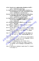ิสมโภชน์ เอี่ยมสุภาษิต (2541) ทฤษฎีและเทคนิคการปรับพฤติกรรม พิมพ์ครั้งที่ 3 กรุงเทพฯ : โรงพิมพ์แห่งจุฬาลงกรณ์มหาวิทยาลัย โสภา- ชพิกุลชัย และคณะ.(2524) การกระทำผิดช้ำของผู้ได้รับการปลดปล่อยจากการ พระราชทานอภัยโทษ ปี พ.ศ. 2522 – 2533, วิทยานิพนธ์ปริญญามหาบัณฑิต กรุงเทพฯ : คณะบัณฑิตวิทยาลัย มหาวิทยาลัยธรรมศาสตร์ อัจฉราพรรณ เทศะปุระ.(2524) การศึกษาวิเคราะห์สาเหตุการกระทำผิดซ้ำของเด็กและ ้เยาวชนสถานพินิจและคุ้มครองเด็ก, วิทยานิพนธ์ปริญญามหาบัณฑิต กรุงเทพฯ : คณะบัณฑิตวิทยาลัย มหาวิทยาลัยธรรมศาสตร์ อัรยา ดิษยบุตรและคณะ.(2531) พระราชบัญญัติจัดตั้งศาลคดีเด็กและเยาวชน พ.ศ. 2495 และพระราชบัญญัติวิธีพิจารณาคดีเด็กและเยาวชน พ.ศ. 2494. กรุงเทพฯ : โรงพิมพ์ชวนพิมพ์ อุมาพร ตรังค<mark>สมบัติ (2540) จิตบำบัดและการให้คำปรึกษาครอบครัว. พ</mark>ิมพ์ครั้งที่ 1. กรุงเทพฯ : เพื่องฟ้าพริ้นติ้ง

โอษฐ์ วารีรักษ์และ อุษา จารุสวัสดิ์. (2545) จิตวิทยาตรอบครัว เล่ม 2 พิมพ์ครั้งที่ : เชียงใหม่ : โรงพิมพ์แสงคิลป์

Byrd K.R. and other. (1993) The Utility of Self - Concept as Predictor of Recidivism Among Juvenile Offenders. The Journal of Psychology. 127(2): 195-201 Coopersmith, S.(1981). The Antecedents of Self - Esteem. 2<sup>nd</sup> ed. California : **Consulting Psychology Press** 

Emery EM, and others. (1993) The Relationship between Youth Substance Use and Area - Specific Self - Esteem. Journal Sch Health. 63(5): 224 -

Favell, J. E., McGimsey, J. F., & Jones, M. L. (1978) the use of physical restraint in the treatment of self-injury and as positive reinforcement. Journal of Applied Behavior Analysis, 11, 225 - 241

Fuhrmann, B.S. (1990) Adolescence. Illinois : scott, Foresman, and Go.

225

Glenn Shields and Richard D Clark (1995) Family Correlate of Delinquency:

And Adaptability. Journal of Sociology and Social Welfare. 2 (1-2) :  $93 - 106$ 

Kazdin, A E. (1984) Behavior modification in applied setting  $3<sup>rd</sup>$  ed. Homewood, **III: The Dorsey Press**